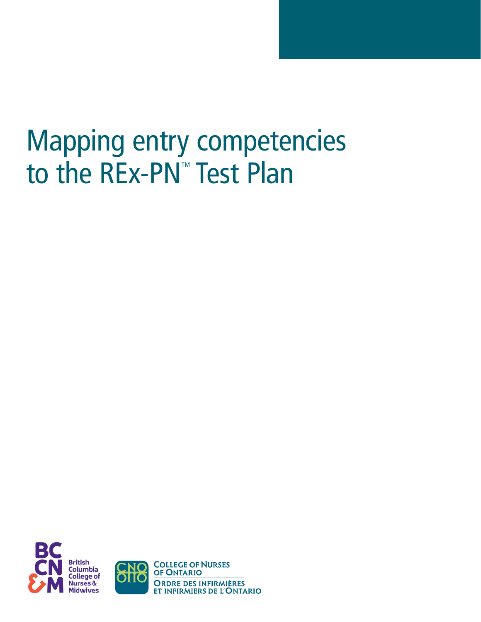# Mapping entry competencies to the REx-PN<sup>™</sup> Test Plan

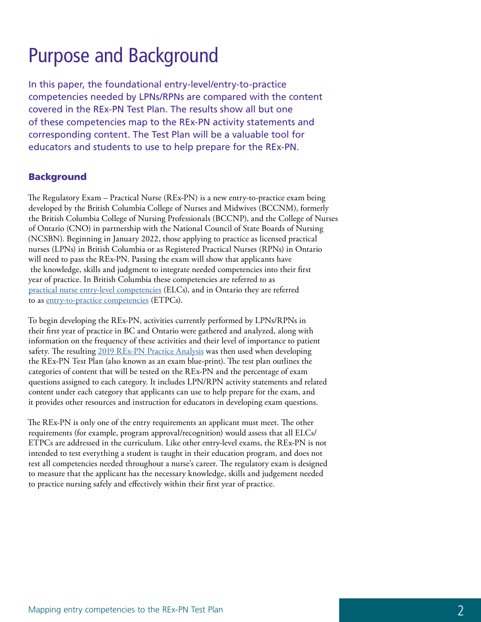# Purpose and Background

In this paper, the foundational entry-level/entry-to-practice competencies needed by LPNs/RPNs are compared with the content covered in the REx-PN Test Plan. The results show all but one of these competencies map to the REx-PN activity statements and corresponding content. The Test Plan will be a valuable tool for educators and students to use to help prepare for the REx-PN.

### Background

The Regulatory Exam – Practical Nurse (REx-PN) is a new entry-to-practice exam being developed by the British Columbia College of Nurses and Midwives (BCCNM), formerly the British Columbia College of Nursing Professionals (BCCNP), and the College of Nurses of Ontario (CNO) in partnership with the National Council of State Boards of Nursing (NCSBN). Beginning in January 2022, those applying to practice as licensed practical nurses (LPNs) in British Columbia or as Registered Practical Nurses (RPNs) in Ontario will need to pass the REx-PN. Passing the exam will show that applicants have the knowledge, skills and judgment to integrate needed competencies into their first year of practice. In British Columbia these competencies are referred to as [practical nurse entry-level competencies](https://www.bccnp.ca/becoming_a_nurse/Documents/BCCNP_Entry-Level_Competencies_for_LPNs.pdf) (ELCs), and in Ontario they are referred to as [entry-to-practice competencies](http://www.cno.org/globalassets/docs/reg/41042_entrypracrpn-2020.pdf) (ETPCs).

To begin developing the REx-PN, activities currently performed by LPNs/RPNs in their first year of practice in BC and Ontario were gathered and analyzed, along with information on the frequency of these activities and their level of importance to patient safety. The resulting [2019 REx-PN Practice Analysis](https://www.ncsbn.org/FINAL_RExPN_PA.pdf) was then used when developing the REx-PN Test Plan (also known as an exam blue-print). The test plan outlines the categories of content that will be tested on the REx-PN and the percentage of exam questions assigned to each category. It includes LPN/RPN activity statements and related content under each category that applicants can use to help prepare for the exam, and it provides other resources and instruction for educators in developing exam questions.

The REx-PN is only one of the entry requirements an applicant must meet. The other requirements (for example, program approval/recognition) would assess that all ELCs/ ETPCs are addressed in the curriculum. Like other entry-level exams, the REx-PN is not intended to test everything a student is taught in their education program, and does not test all competencies needed throughout a nurse's career. The regulatory exam is designed to measure that the applicant has the necessary knowledge, skills and judgement needed to practice nursing safely and effectively within their first year of practice.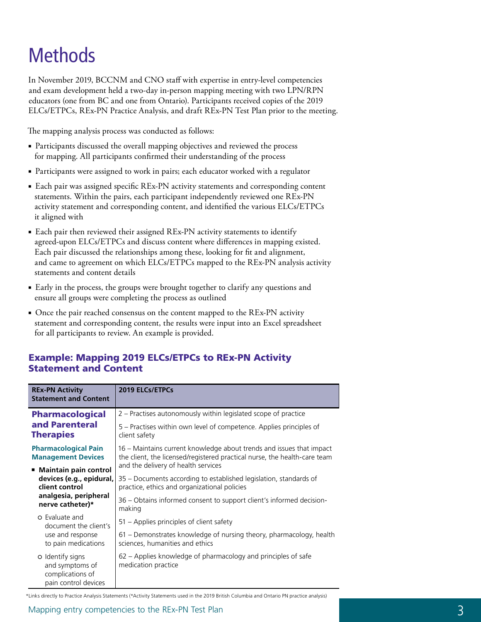# **Methods**

In November 2019, BCCNM and CNO staff with expertise in entry-level competencies and exam development held a two-day in-person mapping meeting with two LPN/RPN educators (one from BC and one from Ontario). Participants received copies of the 2019 ELCs/ETPCs, REx-PN Practice Analysis, and draft REx-PN Test Plan prior to the meeting.

The mapping analysis process was conducted as follows:

- Participants discussed the overall mapping objectives and reviewed the process for mapping. All participants confirmed their understanding of the process
- Participants were assigned to work in pairs; each educator worked with a regulator
- Each pair was assigned specific REx-PN activity statements and corresponding content statements. Within the pairs, each participant independently reviewed one REx-PN activity statement and corresponding content, and identified the various ELCs/ETPCs it aligned with
- Each pair then reviewed their assigned REx-PN activity statements to identify agreed-upon ELCs/ETPCs and discuss content where differences in mapping existed. Each pair discussed the relationships among these, looking for fit and alignment, and came to agreement on which ELCs/ETPCs mapped to the REx-PN analysis activity statements and content details
- Early in the process, the groups were brought together to clarify any questions and ensure all groups were completing the process as outlined
- Once the pair reached consensus on the content mapped to the REx-PN activity statement and corresponding content, the results were input into an Excel spreadsheet for all participants to review. An example is provided.

### Example: Mapping 2019 ELCs/ETPCs to REx-PN Activity Statement and Content

| <b>REX-PN Activity</b><br><b>Statement and Content</b>                                                                                                                                                   | 2019 ELCs/ETPCs                                                                                                                                          |
|----------------------------------------------------------------------------------------------------------------------------------------------------------------------------------------------------------|----------------------------------------------------------------------------------------------------------------------------------------------------------|
| <b>Pharmacological</b><br>and Parenteral<br><b>Therapies</b>                                                                                                                                             | 2 – Practises autonomously within legislated scope of practice                                                                                           |
|                                                                                                                                                                                                          | 5 – Practises within own level of competence. Applies principles of<br>client safety                                                                     |
| <b>Pharmacological Pain</b><br><b>Management Devices</b>                                                                                                                                                 | 16 – Maintains current knowledge about trends and issues that impact<br>the client, the licensed/registered practical nurse, the health-care team        |
| ■ Maintain pain control<br>devices (e.g., epidural,<br>client control<br>analgesia, peripheral<br>nerve catheter)*<br>o Evaluate and<br>document the client's<br>use and response<br>to pain medications | and the delivery of health services<br>35 – Documents according to established legislation, standards of<br>practice, ethics and organizational policies |
|                                                                                                                                                                                                          | 36 - Obtains informed consent to support client's informed decision-<br>making                                                                           |
|                                                                                                                                                                                                          | 51 – Applies principles of client safety                                                                                                                 |
|                                                                                                                                                                                                          | 61 - Demonstrates knowledge of nursing theory, pharmacology, health<br>sciences, humanities and ethics                                                   |
| o Identify signs<br>and symptoms of<br>complications of<br>pain control devices                                                                                                                          | 62 – Applies knowledge of pharmacology and principles of safe<br>medication practice                                                                     |

\*Links directly to Practice Analysis Statements (\*Activity Statements used in the 2019 British Columbia and Ontario PN practice analysis)

### Mapping entry competencies to the REx-PN Test Plan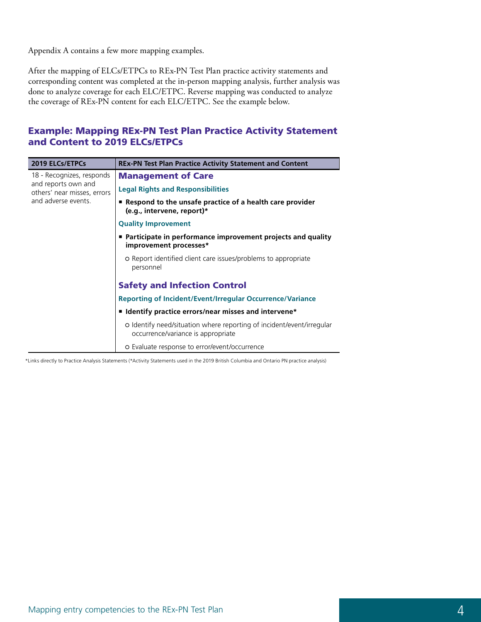Appendix A contains a few more mapping examples.

After the mapping of ELCs/ETPCs to REx-PN Test Plan practice activity statements and corresponding content was completed at the in-person mapping analysis, further analysis was done to analyze coverage for each ELC/ETPC. Reverse mapping was conducted to analyze the coverage of REx-PN content for each ELC/ETPC. See the example below.

### Example: Mapping REx-PN Test Plan Practice Activity Statement and Content to 2019 ELCs/ETPCs

| 2019 ELCs/ETPCs                                                                                        | <b>REx-PN Test Plan Practice Activity Statement and Content</b>                                             |
|--------------------------------------------------------------------------------------------------------|-------------------------------------------------------------------------------------------------------------|
| 18 - Recognizes, responds<br>and reports own and<br>others' near misses, errors<br>and adverse events. | <b>Management of Care</b>                                                                                   |
|                                                                                                        | <b>Legal Rights and Responsibilities</b>                                                                    |
|                                                                                                        | ■ Respond to the unsafe practice of a health care provider<br>(e.g., intervene, report)*                    |
|                                                                                                        | <b>Quality Improvement</b>                                                                                  |
|                                                                                                        | ■ Participate in performance improvement projects and quality<br>improvement processes*                     |
|                                                                                                        | o Report identified client care issues/problems to appropriate<br>personnel                                 |
|                                                                                                        | <b>Safety and Infection Control</b>                                                                         |
|                                                                                                        | <b>Reporting of Incident/Event/Irregular Occurrence/Variance</b>                                            |
|                                                                                                        | ■ Identify practice errors/near misses and intervene*                                                       |
|                                                                                                        | o Identify need/situation where reporting of incident/event/irregular<br>occurrence/variance is appropriate |
|                                                                                                        | o Evaluate response to error/event/occurrence                                                               |

\*Links directly to Practice Analysis Statements (\*Activity Statements used in the 2019 British Columbia and Ontario PN practice analysis)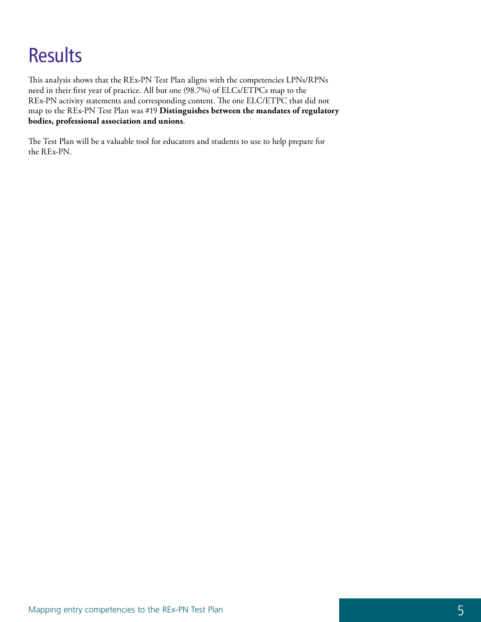# **Results**

This analysis shows that the REx-PN Test Plan aligns with the competencies LPNs/RPNs need in their first year of practice. All but one (98.7%) of ELCs/ETPCs map to the REx-PN activity statements and corresponding content. The one ELC/ETPC that did not map to the REx-PN Test Plan was #19 **Distinguishes between the mandates of regulatory bodies, professional association and unions**.

The Test Plan will be a valuable tool for educators and students to use to help prepare for the REx-PN.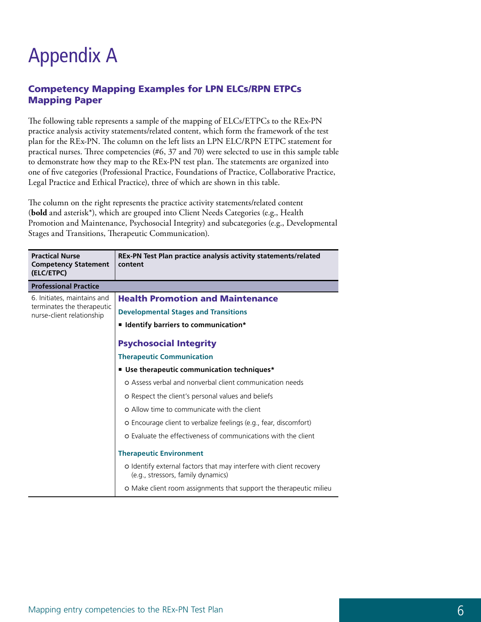# Appendix A

## Competency Mapping Examples for LPN ELCs/RPN ETPCs Mapping Paper

The following table represents a sample of the mapping of ELCs/ETPCs to the REx-PN practice analysis activity statements/related content, which form the framework of the test plan for the REx-PN. The column on the left lists an LPN ELC/RPN ETPC statement for practical nurses. Three competencies (#6, 37 and 70) were selected to use in this sample table to demonstrate how they map to the REx-PN test plan. The statements are organized into one of five categories (Professional Practice, Foundations of Practice, Collaborative Practice, Legal Practice and Ethical Practice), three of which are shown in this table.

The column on the right represents the practice activity statements/related content (**bold** and asterisk\*), which are grouped into Client Needs Categories (e.g., Health Promotion and Maintenance, Psychosocial Integrity) and subcategories (e.g., Developmental Stages and Transitions, Therapeutic Communication).

| <b>Practical Nurse</b><br><b>Competency Statement</b><br>(ELC/ETPC)                    | REx-PN Test Plan practice analysis activity statements/related<br>content                                 |
|----------------------------------------------------------------------------------------|-----------------------------------------------------------------------------------------------------------|
| <b>Professional Practice</b>                                                           |                                                                                                           |
| 6. Initiates, maintains and<br>terminates the therapeutic<br>nurse-client relationship | <b>Health Promotion and Maintenance</b>                                                                   |
|                                                                                        | <b>Developmental Stages and Transitions</b>                                                               |
|                                                                                        | <b>E</b> Identify barriers to communication*                                                              |
|                                                                                        | <b>Psychosocial Integrity</b>                                                                             |
|                                                                                        | <b>Therapeutic Communication</b>                                                                          |
|                                                                                        | ■ Use therapeutic communication techniques*                                                               |
|                                                                                        | o Assess verbal and nonverbal client communication needs                                                  |
|                                                                                        | o Respect the client's personal values and beliefs                                                        |
|                                                                                        | o Allow time to communicate with the client                                                               |
|                                                                                        | o Encourage client to verbalize feelings (e.g., fear, discomfort)                                         |
|                                                                                        | o Evaluate the effectiveness of communications with the client                                            |
|                                                                                        | <b>Therapeutic Environment</b>                                                                            |
|                                                                                        | o Identify external factors that may interfere with client recovery<br>(e.g., stressors, family dynamics) |
|                                                                                        | o Make client room assignments that support the therapeutic milieu                                        |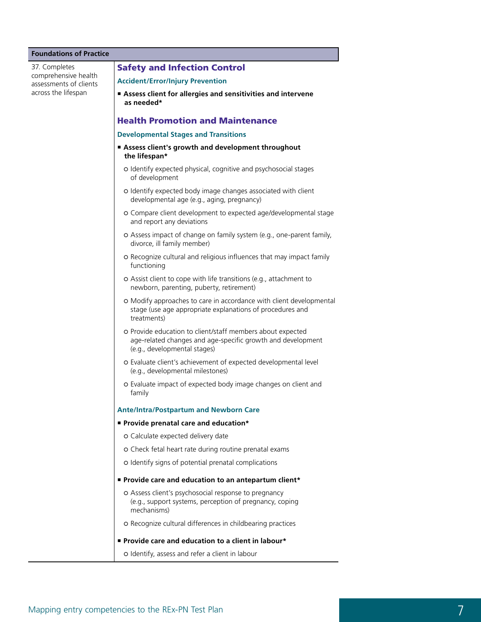37. Completes comprehensive health assessments of clients across the lifespan

#### Safety and Infection Control

#### **Accident/Error/Injury Prevention**

■ **Assess client for allergies and sensitivities and intervene as needed\*** 

#### Health Promotion and Maintenance

#### **Developmental Stages and Transitions**

- Assess client's growth and development throughout **the lifespan\*** 
	- o Identify expected physical, cognitive and psychosocial stages of development
	- o Identify expected body image changes associated with client developmental age (e.g., aging, pregnancy)
	- o Compare client development to expected age/developmental stage and report any deviations
	- o Assess impact of change on family system (e.g., one-parent family, divorce, ill family member)
	- o Recognize cultural and religious influences that may impact family functioning
	- o Assist client to cope with life transitions (e.g., attachment to newborn, parenting, puberty, retirement)
	- o Modify approaches to care in accordance with client developmental stage (use age appropriate explanations of procedures and treatments)
	- o Provide education to client/staff members about expected age-related changes and age-specific growth and development (e.g., developmental stages)
	- o Evaluate client's achievement of expected developmental level (e.g., developmental milestones)
	- o Evaluate impact of expected body image changes on client and family

#### **Ante/Intra/Postpartum and Newborn Care**

#### ■ **Provide prenatal care and education\***

- o Calculate expected delivery date
- o Check fetal heart rate during routine prenatal exams
- o Identify signs of potential prenatal complications
- **Provide care and education to an antepartum client\*** 
	- o Assess client's psychosocial response to pregnancy (e.g., support systems, perception of pregnancy, coping mechanisms)
	- o Recognize cultural differences in childbearing practices

#### ■ **Provide care and education to a client in labour\***

o Identify, assess and refer a client in labour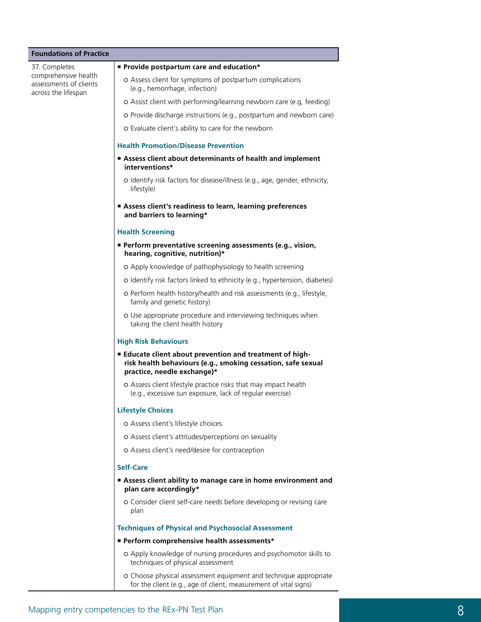| <b>Foundations of Practice</b>                                        |                                                                                                                                                              |
|-----------------------------------------------------------------------|--------------------------------------------------------------------------------------------------------------------------------------------------------------|
| 37. Completes                                                         | " Provide postpartum care and education*                                                                                                                     |
| comprehensive health<br>assessments of clients<br>across the lifespan | o Assess client for symptoms of postpartum complications<br>(e.g., hemorrhage, infection)                                                                    |
|                                                                       | o Assist client with performing/learning newborn care (e.g, feeding)                                                                                         |
|                                                                       | o Provide discharge instructions (e.g., postpartum and newborn care)                                                                                         |
|                                                                       | o Evaluate client's ability to care for the newborn                                                                                                          |
|                                                                       | <b>Health Promotion/Disease Prevention</b>                                                                                                                   |
|                                                                       | Assess client about determinants of health and implement<br>interventions*                                                                                   |
|                                                                       | o Identify risk factors for disease/illness (e.g., age, gender, ethnicity,<br>lifestyle)                                                                     |
|                                                                       | Assess client's readiness to learn, learning preferences<br>and barriers to learning*                                                                        |
|                                                                       | <b>Health Screening</b>                                                                                                                                      |
|                                                                       | Perform preventative screening assessments (e.g., vision,<br>hearing, cognitive, nutrition)*                                                                 |
|                                                                       | o Apply knowledge of pathophysiology to health screening                                                                                                     |
|                                                                       | o Identify risk factors linked to ethnicity (e.g., hypertension, diabetes)                                                                                   |
|                                                                       | o Perform health history/health and risk assessments (e.g., lifestyle,<br>family and genetic history)                                                        |
|                                                                       | o Use appropriate procedure and interviewing techniques when<br>taking the client health history                                                             |
|                                                                       | <b>High Risk Behaviours</b>                                                                                                                                  |
|                                                                       | <b>Educate client about prevention and treatment of high-</b><br>risk health behaviours (e.g., smoking cessation, safe sexual<br>practice, needle exchange)* |
|                                                                       | o Assess client lifestyle practice risks that may impact health<br>(e.g., excessive sun exposure, lack of regular exercise)                                  |
|                                                                       | <b>Lifestyle Choices</b>                                                                                                                                     |
|                                                                       | o Assess client's lifestyle choices                                                                                                                          |
|                                                                       | o Assess client's attitudes/perceptions on sexuality                                                                                                         |
|                                                                       | o Assess client's need/desire for contraception                                                                                                              |
|                                                                       | Self-Care                                                                                                                                                    |
|                                                                       | Assess client ability to manage care in home environment and<br>plan care accordingly*                                                                       |
|                                                                       | o Consider client self-care needs before developing or revising care<br>plan                                                                                 |
|                                                                       | <b>Techniques of Physical and Psychosocial Assessment</b>                                                                                                    |
|                                                                       | Perform comprehensive health assessments*                                                                                                                    |
|                                                                       | o Apply knowledge of nursing procedures and psychomotor skills to<br>techniques of physical assessment                                                       |
|                                                                       | o Choose physical assessment equipment and technique appropriate                                                                                             |

for the client (e.g., age of client, measurement of vital signs)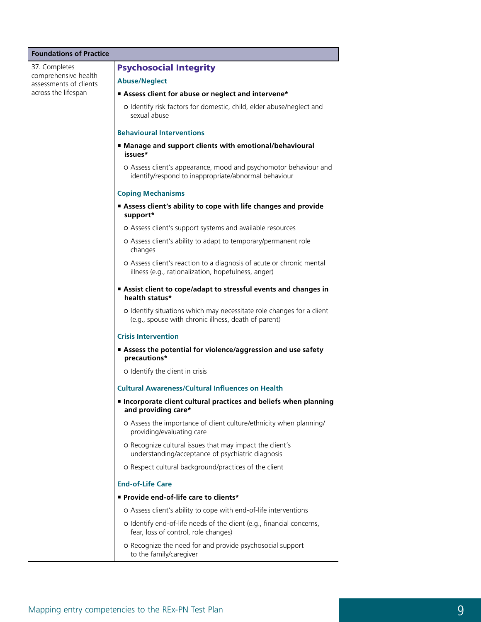37. Completes comprehensive health assessments of clients across the lifespan

#### Psychosocial Integrity

#### **Abuse/Neglect**

- **Assess client for abuse or neglect and intervene\***
- o Identify risk factors for domestic, child, elder abuse/neglect and sexual abuse

#### **Behavioural Interventions**

- Manage and support clients with emotional/behavioural **issues\*** 
	- o Assess client's appearance, mood and psychomotor behaviour and identify/respond to inappropriate/abnormal behaviour

#### **Coping Mechanisms**

■ Assess client's ability to cope with life changes and provide **support\*** 

o Assess client's support systems and available resources

- o Assess client's ability to adapt to temporary/permanent role changes
- o Assess client's reaction to a diagnosis of acute or chronic mental illness (e.g., rationalization, hopefulness, anger)
- Assist client to cope/adapt to stressful events and changes in **health status\*** 
	- o Identify situations which may necessitate role changes for a client (e.g., spouse with chronic illness, death of parent)

#### **Crisis Intervention**

■ Assess the potential for violence/aggression and use safety **precautions\*** 

o Identify the client in crisis

#### **Cultural Awareness/Cultural Influences on Health**

- **Incorporate client cultural practices and beliefs when planning and providing care\*** 
	- o Assess the importance of client culture/ethnicity when planning/ providing/evaluating care
	- o Recognize cultural issues that may impact the client's understanding/acceptance of psychiatric diagnosis
	- o Respect cultural background/practices of the client

#### **End-of-Life Care**

- **Provide end-of-life care to clients\*** 
	- o Assess client's ability to cope with end-of-life interventions
	- o Identify end-of-life needs of the client (e.g., financial concerns, fear, loss of control, role changes)
	- o Recognize the need for and provide psychosocial support to the family/caregiver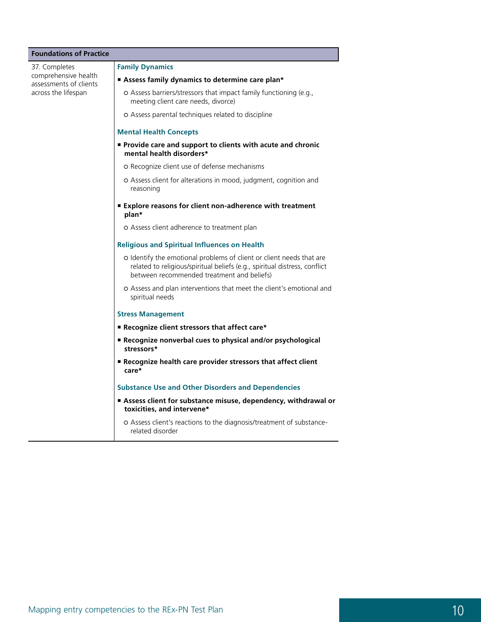| <b>Foundations of Practice</b>                                                         |                                                                                                                                                                                                  |
|----------------------------------------------------------------------------------------|--------------------------------------------------------------------------------------------------------------------------------------------------------------------------------------------------|
| 37. Completes<br>comprehensive health<br>assessments of clients<br>across the lifespan | <b>Family Dynamics</b>                                                                                                                                                                           |
|                                                                                        | Assess family dynamics to determine care plan*                                                                                                                                                   |
|                                                                                        | o Assess barriers/stressors that impact family functioning (e.g.,<br>meeting client care needs, divorce)                                                                                         |
|                                                                                        | o Assess parental techniques related to discipline                                                                                                                                               |
|                                                                                        | <b>Mental Health Concepts</b>                                                                                                                                                                    |
|                                                                                        | Provide care and support to clients with acute and chronic<br>mental health disorders*                                                                                                           |
|                                                                                        | o Recognize client use of defense mechanisms                                                                                                                                                     |
|                                                                                        | o Assess client for alterations in mood, judgment, cognition and<br>reasoning                                                                                                                    |
|                                                                                        | <b>Explore reasons for client non-adherence with treatment</b><br>plan*                                                                                                                          |
|                                                                                        | o Assess client adherence to treatment plan                                                                                                                                                      |
|                                                                                        | <b>Religious and Spiritual Influences on Health</b>                                                                                                                                              |
|                                                                                        | o Identify the emotional problems of client or client needs that are<br>related to religious/spiritual beliefs (e.g., spiritual distress, conflict<br>between recommended treatment and beliefs) |
|                                                                                        | o Assess and plan interventions that meet the client's emotional and<br>spiritual needs                                                                                                          |
|                                                                                        | <b>Stress Management</b>                                                                                                                                                                         |
|                                                                                        | Recognize client stressors that affect care*                                                                                                                                                     |
|                                                                                        | ■ Recognize nonverbal cues to physical and/or psychological<br>stressors*                                                                                                                        |
|                                                                                        | Recognize health care provider stressors that affect client<br>care*                                                                                                                             |
|                                                                                        | <b>Substance Use and Other Disorders and Dependencies</b>                                                                                                                                        |
|                                                                                        | Assess client for substance misuse, dependency, withdrawal or<br>toxicities, and intervene*                                                                                                      |
|                                                                                        | o Assess client's reactions to the diagnosis/treatment of substance-<br>related disorder                                                                                                         |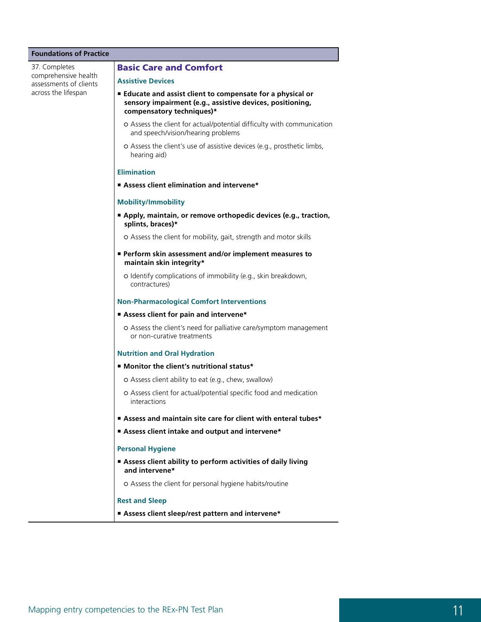37. Completes comprehensive health assessments of clients across the lifespan

#### Basic Care and Comfort

#### **Assistive Devices**

- **Educate and assist client to compensate for a physical or sensory impairment (e.g., assistive devices, positioning, compensatory techniques)\***
- o Assess the client for actual/potential difficulty with communication and speech/vision/hearing problems
- o Assess the client's use of assistive devices (e.g., prosthetic limbs, hearing aid)

#### **Elimination**

■ Assess client elimination and intervene<sup>\*</sup>

#### **Mobility/Immobility**

■ Apply, maintain, or remove orthopedic devices (e.g., traction, **splints, braces)\*** 

o Assess the client for mobility, gait, strength and motor skills

- **Perform skin assessment and/or implement measures to maintain skin integrity\*** 
	- o Identify complications of immobility (e.g., skin breakdown, contractures)

#### **Non-Pharmacological Comfort Interventions**

■ **Assess client for pain and intervene\*** 

o Assess the client's need for palliative care/symptom management or non-curative treatments

#### **Nutrition and Oral Hydration**

- **Monitor the client's nutritional status\*** 
	- o Assess client ability to eat (e.g., chew, swallow)
	- o Assess client for actual/potential specific food and medication interactions
- **Assess and maintain site care for client with enteral tubes\***
- **Assess client intake and output and intervene\***

#### **Personal Hygiene**

■ Assess client ability to perform activities of daily living **and intervene\*** 

o Assess the client for personal hygiene habits/routine

#### **Rest and Sleep**

■ **Assess client sleep/rest pattern and intervene\***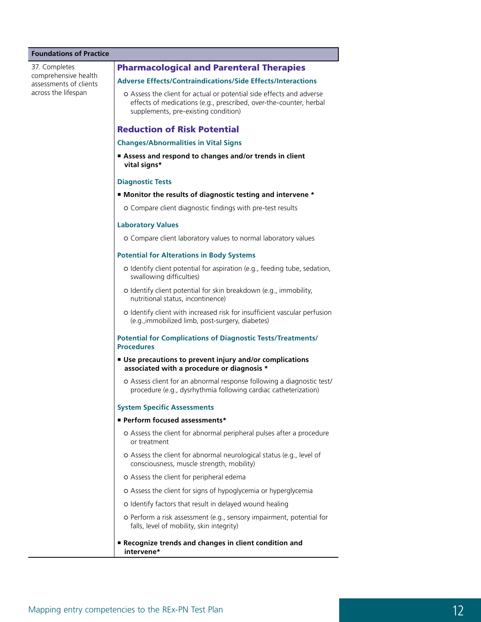37. Completes comprehensive health assessments of clients across the lifespan

#### Pharmacological and Parenteral Therapies

#### **Adverse Effects/Contraindications/Side Effects/Interactions**

o Assess the client for actual or potential side effects and adverse effects of medications (e.g., prescribed, over-the-counter, herbal supplements, pre-existing condition)

#### Reduction of Risk Potential

#### **Changes/Abnormalities in Vital Signs**

■ Assess and respond to changes and/or trends in client **vital signs\*** 

#### **Diagnostic Tests**

- **Monitor the results of diagnostic testing and intervene \*** 
	- o Compare client diagnostic findings with pre-test results

#### **Laboratory Values**

o Compare client laboratory values to normal laboratory values

#### **Potential for Alterations in Body Systems**

- o Identify client potential for aspiration (e.g., feeding tube, sedation, swallowing difficulties)
- o Identify client potential for skin breakdown (e.g., immobility, nutritional status, incontinence)
- o Identify client with increased risk for insufficient vascular perfusion (e.g.,immobilized limb, post-surgery, diabetes)

#### **Potential for Complications of Diagnostic Tests/Treatments/ Procedures**

- Use precautions to prevent injury and/or complications **associated with a procedure or diagnosis \*** 
	- o Assess client for an abnormal response following a diagnostic test/ procedure (e.g., dysrhythmia following cardiac catheterization)

#### **System Specific Assessments**

#### ■ **Perform focused assessments\***

- o Assess the client for abnormal peripheral pulses after a procedure or treatment
- o Assess the client for abnormal neurological status (e.g., level of consciousness, muscle strength, mobility)
- o Assess the client for peripheral edema
- o Assess the client for signs of hypoglycemia or hyperglycemia
- o Identify factors that result in delayed wound healing
- o Perform a risk assessment (e.g., sensory impairment, potential for falls, level of mobility, skin integrity)

#### ■ **Recognize trends and changes in client condition and intervene\***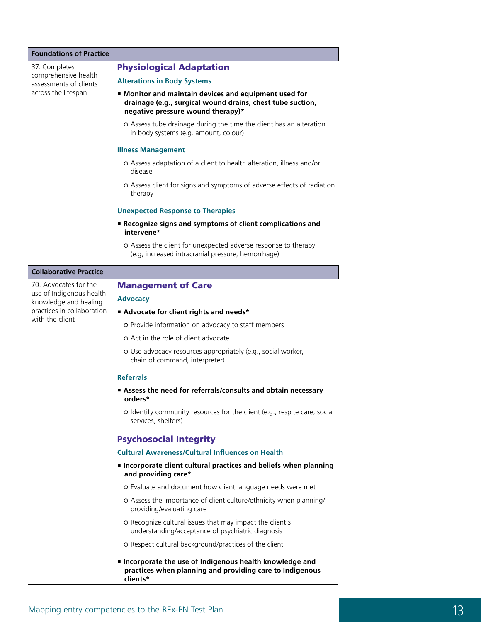| <b>Foundations of Practice</b>                    |                                                                                                                                                          |
|---------------------------------------------------|----------------------------------------------------------------------------------------------------------------------------------------------------------|
| 37. Completes                                     | <b>Physiological Adaptation</b>                                                                                                                          |
| comprehensive health<br>assessments of clients    | <b>Alterations in Body Systems</b>                                                                                                                       |
| across the lifespan                               | ■ Monitor and maintain devices and equipment used for<br>drainage (e.g., surgical wound drains, chest tube suction,<br>negative pressure wound therapy)* |
|                                                   | o Assess tube drainage during the time the client has an alteration<br>in body systems (e.g. amount, colour)                                             |
|                                                   | <b>Illness Management</b>                                                                                                                                |
|                                                   | o Assess adaptation of a client to health alteration, illness and/or<br>disease                                                                          |
|                                                   | o Assess client for signs and symptoms of adverse effects of radiation<br>therapy                                                                        |
|                                                   | <b>Unexpected Response to Therapies</b>                                                                                                                  |
|                                                   | Recognize signs and symptoms of client complications and<br>intervene*                                                                                   |
|                                                   | o Assess the client for unexpected adverse response to therapy<br>(e.g, increased intracranial pressure, hemorrhage)                                     |
| <b>Collaborative Practice</b>                     |                                                                                                                                                          |
| 70. Advocates for the                             | <b>Management of Care</b>                                                                                                                                |
| use of Indigenous health<br>knowledge and healing | <b>Advocacy</b>                                                                                                                                          |
| practices in collaboration                        | Advocate for client rights and needs*                                                                                                                    |
| with the client                                   | o Provide information on advocacy to staff members                                                                                                       |
|                                                   | o Act in the role of client advocate                                                                                                                     |
|                                                   | o Use advocacy resources appropriately (e.g., social worker,<br>chain of command, interpreter)                                                           |
|                                                   | <b>Referrals</b>                                                                                                                                         |
|                                                   | Assess the need for referrals/consults and obtain necessary<br>orders*                                                                                   |
|                                                   | o Identify community resources for the client (e.g., respite care, social<br>services, shelters)                                                         |
|                                                   | <b>Psychosocial Integrity</b>                                                                                                                            |
|                                                   | <b>Cultural Awareness/Cultural Influences on Health</b>                                                                                                  |
|                                                   | Incorporate client cultural practices and beliefs when planning<br>and providing care*                                                                   |
|                                                   | o Evaluate and document how client language needs were met                                                                                               |
|                                                   | o Assess the importance of client culture/ethnicity when planning/<br>providing/evaluating care                                                          |
|                                                   | o Recognize cultural issues that may impact the client's<br>understanding/acceptance of psychiatric diagnosis                                            |
|                                                   | o Respect cultural background/practices of the client                                                                                                    |
|                                                   | Incorporate the use of Indigenous health knowledge and<br>practices when planning and providing care to Indigenous<br>clients*                           |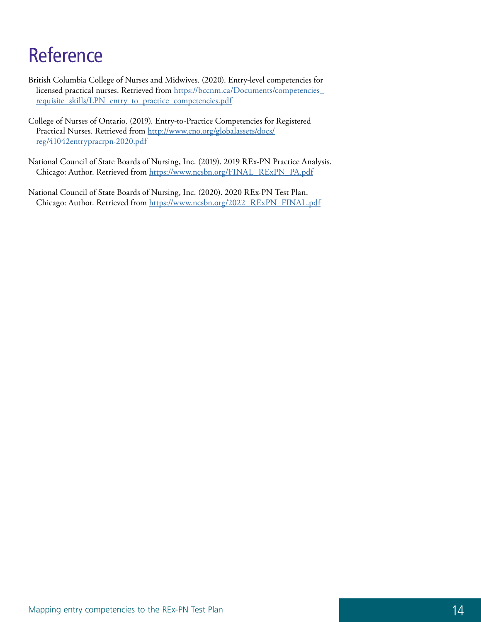# **Reference**

- British Columbia College of Nurses and Midwives. (2020). Entry-level competencies for licensed practical nurses. Retrieved from https://bccnm.ca/Documents/competencies [requisite\\_skills/LPN\\_entry\\_to\\_practice\\_competencies.pdf](https://bccnm.ca/Documents/competencies_requisite_skills/LPN_entry_to_practice_competencies.pdf)
- College of Nurses of Ontario. (2019). Entry-to-Practice Competencies for Registered Practical Nurses. Retrieved from http://www.cno.org/globalassets/docs/ [reg/41042entrypracrpn-2020.pdf](http://www.cno.org/globalassets/docs/reg/41042_entrypracrpn-2020.pdf)
- National Council of State Boards of Nursing, Inc. (2019). 2019 REx-PN Practice Analysis. Chicago: Author. Retrieved from [https://www.ncsbn.org/FINAL\\_RExPN\\_PA.pdf](https://www.ncsbn.org/FINAL_RExPN_PA.pdf)
- National Council of State Boards of Nursing, Inc. (2020). 2020 REx-PN Test Plan. Chicago: Author. Retrieved from [https://www.ncsbn.org/2022\\_RExPN\\_FINAL.pdf](https://www.ncsbn.org/2022_RExPN_FINAL.pdf)